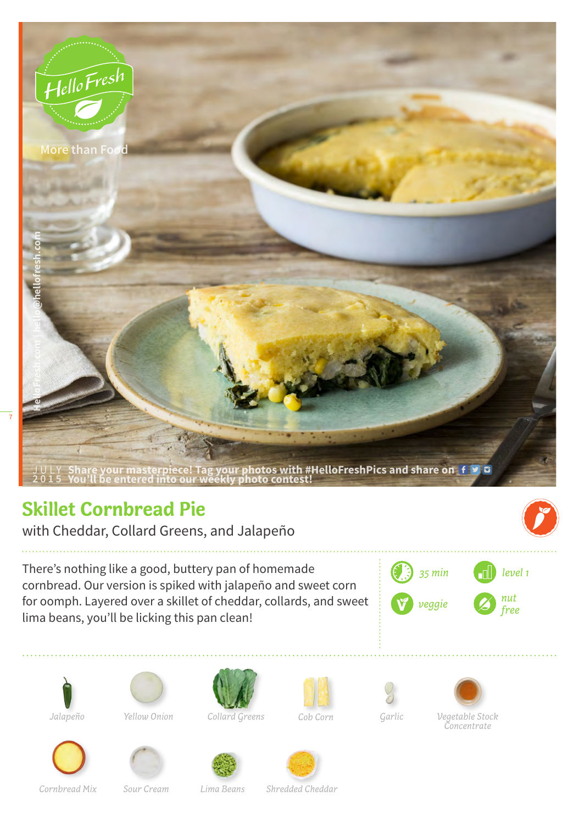

## **Skillet Cornbread Pie**

with Cheddar, Collard Greens, and Jalapeño

There's nothing like a good, buttery pan of homemade cornbread. Our version is spiked with jalapeño and sweet corn for oomph. Layered over a skillet of cheddar, collards, and sweet lima beans, you'll be licking this pan clean!







*Yellow Onion*



*Collard Greens Cob Corn Garlic*











*Cornbread Mix Sour Cream*

*Lima Beans Shredded Cheddar*